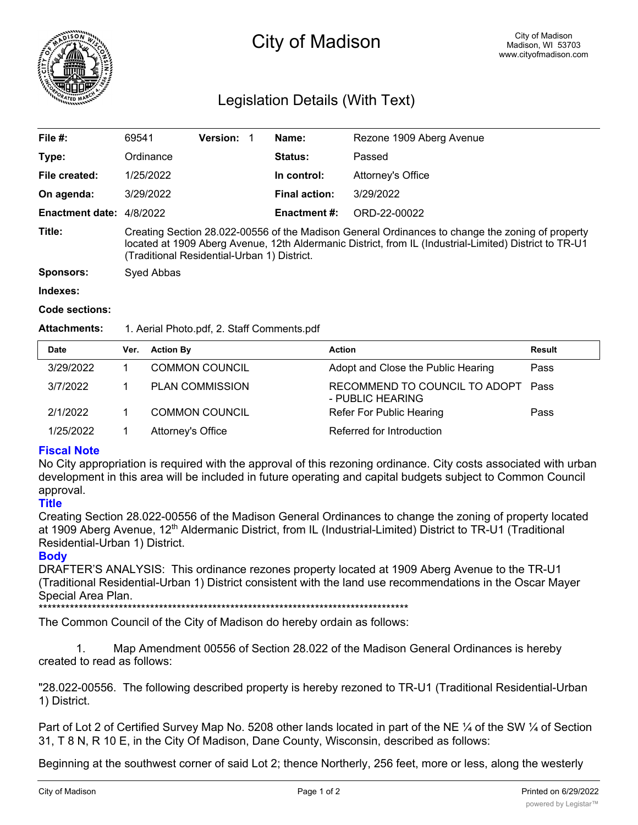

# City of Madison

# Legislation Details (With Text)

| File $#$ :               | 69541                                                                                                                                                                                                                                                     | Version: 1 |  | Name:                | Rezone 1909 Aberg Avenue |  |
|--------------------------|-----------------------------------------------------------------------------------------------------------------------------------------------------------------------------------------------------------------------------------------------------------|------------|--|----------------------|--------------------------|--|
| Type:                    | Ordinance                                                                                                                                                                                                                                                 |            |  | Status:              | Passed                   |  |
| File created:            | 1/25/2022                                                                                                                                                                                                                                                 |            |  | In control:          | Attorney's Office        |  |
| On agenda:               | 3/29/2022                                                                                                                                                                                                                                                 |            |  | <b>Final action:</b> | 3/29/2022                |  |
| Enactment date: 4/8/2022 |                                                                                                                                                                                                                                                           |            |  | <b>Enactment #:</b>  | ORD-22-00022             |  |
| Title:                   | Creating Section 28.022-00556 of the Madison General Ordinances to change the zoning of property<br>located at 1909 Aberg Avenue, 12th Aldermanic District, from IL (Industrial-Limited) District to TR-U1<br>(Traditional Residential-Urban 1) District. |            |  |                      |                          |  |
| <b>Sponsors:</b>         | Syed Abbas                                                                                                                                                                                                                                                |            |  |                      |                          |  |
| Indexes:                 |                                                                                                                                                                                                                                                           |            |  |                      |                          |  |

#### **Code sections:**

#### **Attachments:** 1. Aerial Photo.pdf, 2. Staff Comments.pdf

| <b>Date</b> | Ver. | <b>Action By</b>       | <b>Action</b>                                          | <b>Result</b> |
|-------------|------|------------------------|--------------------------------------------------------|---------------|
| 3/29/2022   |      | <b>COMMON COUNCIL</b>  | Adopt and Close the Public Hearing                     | Pass          |
| 3/7/2022    |      | <b>PLAN COMMISSION</b> | RECOMMEND TO COUNCIL TO ADOPT Pass<br>- PUBLIC HEARING |               |
| 2/1/2022    |      | <b>COMMON COUNCIL</b>  | Refer For Public Hearing                               | Pass          |
| 1/25/2022   |      | Attorney's Office      | Referred for Introduction                              |               |

## **Fiscal Note**

No City appropriation is required with the approval of this rezoning ordinance. City costs associated with urban development in this area will be included in future operating and capital budgets subject to Common Council approval.

# **Title**

Creating Section 28.022-00556 of the Madison General Ordinances to change the zoning of property located at 1909 Aberg Avenue, 12<sup>th</sup> Aldermanic District, from IL (Industrial-Limited) District to TR-U1 (Traditional Residential-Urban 1) District.

## **Body**

DRAFTER'S ANALYSIS: This ordinance rezones property located at 1909 Aberg Avenue to the TR-U1 (Traditional Residential-Urban 1) District consistent with the land use recommendations in the Oscar Mayer Special Area Plan.

\*\*\*\*\*\*\*\*\*\*\*\*\*\*\*\*\*\*\*\*\*\*\*\*\*\*\*\*\*\*\*\*\*\*\*\*\*\*\*\*\*\*\*\*\*\*\*\*\*\*\*\*\*\*\*\*\*\*\*\*\*\*\*\*\*\*\*\*\*\*\*\*\*\*\*\*\*\*\*\*\*\*\*

The Common Council of the City of Madison do hereby ordain as follows:

1. Map Amendment 00556 of Section 28.022 of the Madison General Ordinances is hereby created to read as follows:

"28.022-00556. The following described property is hereby rezoned to TR-U1 (Traditional Residential-Urban 1) District.

Part of Lot 2 of Certified Survey Map No. 5208 other lands located in part of the NE 1/4 of the SW 1/4 of Section 31, T 8 N, R 10 E, in the City Of Madison, Dane County, Wisconsin, described as follows:

Beginning at the southwest corner of said Lot 2; thence Northerly, 256 feet, more or less, along the westerly